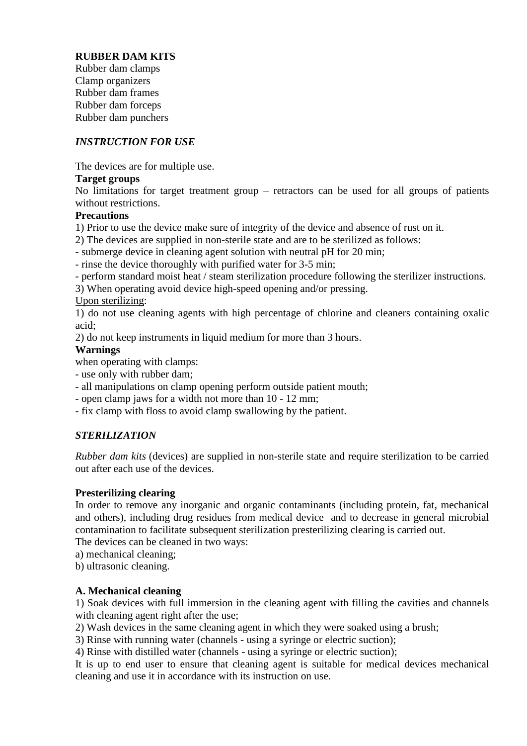## **RUBBER DAM KITS**

Rubber dam clamps Clamp organizers Rubber dam frames Rubber dam forceps Rubber dam punchers

## *INSTRUCTION FOR USE*

The devices are for multiple use.

### **Target groups**

No limitations for target treatment group – retractors can be used for all groups of patients without restrictions.

### **Precautions**

1) Prior to use the device make sure of integrity of the device and absence of rust on it.

2) The devices are supplied in non-sterile state and are to be sterilized as follows:

- submerge device in cleaning agent solution with neutral pH for 20 min;

- rinse the device thoroughly with purified water for 3-5 min;

- perform standard moist heat / steam sterilization procedure following the sterilizer instructions.

3) When operating avoid device high-speed opening and/or pressing.

### Upon sterilizing:

1) do not use cleaning agents with high percentage of chlorine and cleaners containing oxalic acid;

2) do not keep instruments in liquid medium for more than 3 hours.

### **Warnings**

when operating with clamps:

- use only with rubber dam;
- all manipulations on clamp opening perform outside patient mouth;
- open clamp jaws for a width not more than 10 12 mm;
- fix clamp with floss to avoid clamp swallowing by the patient.

## *STERILIZATION*

*Rubber dam kits* (devices) are supplied in non-sterile state and require sterilization to be carried out after each use of the devices.

## **Presterilizing clearing**

In order to remove any inorganic and organic contaminants (including protein, fat, mechanical and others), including drug residues from medical device and to decrease in general microbial contamination to facilitate subsequent sterilization presterilizing clearing is carried out.

The devices can be cleaned in two ways:

a) mechanical cleaning;

b) ultrasonic cleaning.

#### **A. Mechanical cleaning**

1) Soak devices with full immersion in the cleaning agent with filling the cavities and channels with cleaning agent right after the use;

2) Wash devices in the same cleaning agent in which they were soaked using a brush;

3) Rinse with running water (channels - using a syringe or electric suction);

4) Rinse with distilled water (channels - using a syringe or electric suction);

It is up to end user to ensure that cleaning agent is suitable for medical devices mechanical cleaning and use it in accordance with its instruction on use.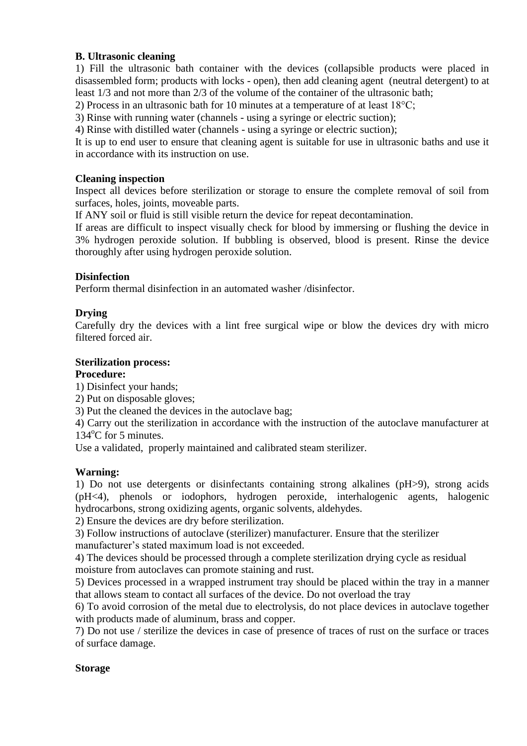## **B. Ultrasonic cleaning**

1) Fill the ultrasonic bath container with the devices (collapsible products were placed in disassembled form; products with locks - open), then add cleaning agent (neutral detergent) to at least 1/3 and not more than 2/3 of the volume of the container of the ultrasonic bath;

2) Process in an ultrasonic bath for 10 minutes at a temperature of at least 18°C;

3) Rinse with running water (channels - using a syringe or electric suction);

4) Rinse with distilled water (channels - using a syringe or electric suction);

It is up to end user to ensure that cleaning agent is suitable for use in ultrasonic baths and use it in accordance with its instruction on use.

#### **Cleaning inspection**

Inspect all devices before sterilization or storage to ensure the complete removal of soil from surfaces, holes, joints, moveable parts.

If ANY soil or fluid is still visible return the device for repeat decontamination.

If areas are difficult to inspect visually check for blood by immersing or flushing the device in 3% hydrogen peroxide solution. If bubbling is observed, blood is present. Rinse the device thoroughly after using hydrogen peroxide solution.

#### **Disinfection**

Perform thermal disinfection in an automated washer /disinfector.

#### **Drying**

Carefully dry the devices with a lint free surgical wipe or blow the devices dry with micro filtered forced air.

# **Sterilization process:**

#### **Procedure:**

1) Disinfect your hands;

2) Put on disposable gloves;

3) Put the cleaned the devices in the autoclave bag;

4) Carry out the sterilization in accordance with the instruction of the autoclave manufacturer at  $134^{\circ}$ C for 5 minutes.

Use a validated, properly maintained and calibrated steam sterilizer.

#### **Warning:**

1) Do not use detergents or disinfectants containing strong alkalines (pH>9), strong acids (pH<4), phenols or iodophors, hydrogen peroxide, interhalogenic agents, halogenic hydrocarbons, strong oxidizing agents, organic solvents, aldehydes.

2) Ensure the devices are dry before sterilization.

3) Follow instructions of autoclave (sterilizer) manufacturer. Ensure that the sterilizer manufacturer's stated maximum load is not exceeded.

4) The devices should be processed through a complete sterilization drying cycle as residual moisture from autoclaves can promote staining and rust.

5) Devices processed in a wrapped instrument tray should be placed within the tray in a manner that allows steam to contact all surfaces of the device. Do not overload the tray

6) To avoid corrosion of the metal due to electrolysis, do not place devices in autoclave together with products made of aluminum, brass and copper.

7) Do not use / sterilize the devices in case of presence of traces of rust on the surface or traces of surface damage.

#### **Storage**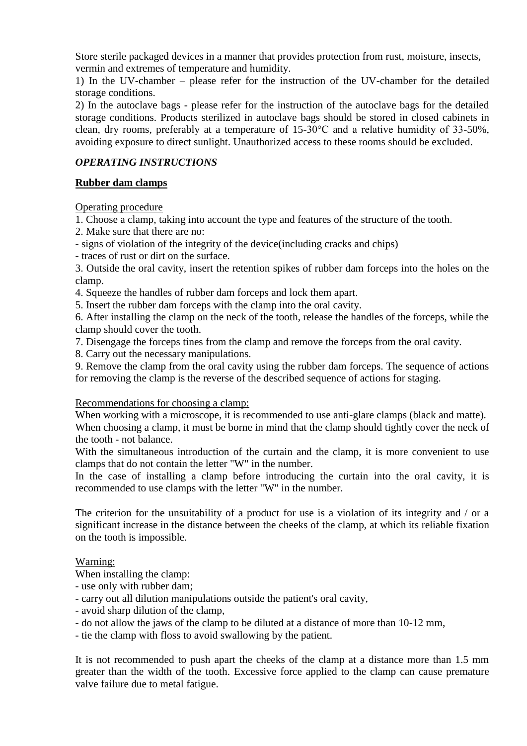Store sterile packaged devices in a manner that provides protection from rust, moisture, insects, vermin and extremes of temperature and humidity.

1) In the UV-chamber – please refer for the instruction of the UV-chamber for the detailed storage conditions.

2) In the autoclave bags - please refer for the instruction of the autoclave bags for the detailed storage conditions. Products sterilized in autoclave bags should be stored in closed cabinets in clean, dry rooms, preferably at a temperature of 15-30°C and a relative humidity of 33-50%, avoiding exposure to direct sunlight. Unauthorized access to these rooms should be excluded.

## *OPERATING INSTRUCTIONS*

## **Rubber dam clamps**

Operating procedure

1. Choose a clamp, taking into account the type and features of the structure of the tooth.

2. Make sure that there are no:

- signs of violation of the integrity of the device(including cracks and chips)

- traces of rust or dirt on the surface.

3. Outside the oral cavity, insert the retention spikes of rubber dam forceps into the holes on the clamp.

4. Squeeze the handles of rubber dam forceps and lock them apart.

5. Insert the rubber dam forceps with the clamp into the oral cavity.

6. After installing the clamp on the neck of the tooth, release the handles of the forceps, while the clamp should cover the tooth.

7. Disengage the forceps tines from the clamp and remove the forceps from the oral cavity.

8. Carry out the necessary manipulations.

9. Remove the clamp from the oral cavity using the rubber dam forceps. The sequence of actions for removing the clamp is the reverse of the described sequence of actions for staging.

#### Recommendations for choosing a clamp:

When working with a microscope, it is recommended to use anti-glare clamps (black and matte). When choosing a clamp, it must be borne in mind that the clamp should tightly cover the neck of the tooth - not balance.

With the simultaneous introduction of the curtain and the clamp, it is more convenient to use clamps that do not contain the letter "W" in the number.

In the case of installing a clamp before introducing the curtain into the oral cavity, it is recommended to use clamps with the letter "W" in the number.

The criterion for the unsuitability of a product for use is a violation of its integrity and / or a significant increase in the distance between the cheeks of the clamp, at which its reliable fixation on the tooth is impossible.

## Warning:

When installing the clamp:

- use only with rubber dam;
- carry out all dilution manipulations outside the patient's oral cavity,
- avoid sharp dilution of the clamp,
- do not allow the jaws of the clamp to be diluted at a distance of more than 10-12 mm,

- tie the clamp with floss to avoid swallowing by the patient.

It is not recommended to push apart the cheeks of the clamp at a distance more than 1.5 mm greater than the width of the tooth. Excessive force applied to the clamp can cause premature valve failure due to metal fatigue.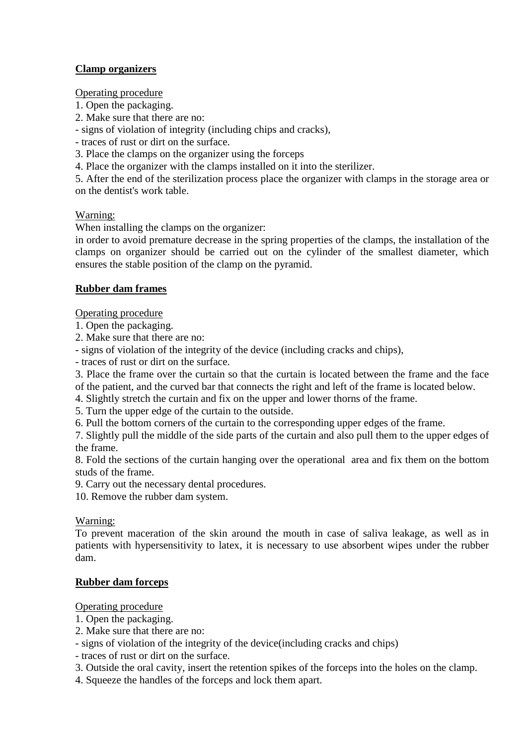## **Clamp organizers**

Operating procedure

- 1. Open the packaging.
- 2. Make sure that there are no:
- signs of violation of integrity (including chips and cracks),
- traces of rust or dirt on the surface.
- 3. Place the clamps on the organizer using the forceps
- 4. Place the organizer with the clamps installed on it into the sterilizer.

5. After the end of the sterilization process place the organizer with clamps in the storage area or on the dentist's work table.

## Warning:

When installing the clamps on the organizer:

in order to avoid premature decrease in the spring properties of the clamps, the installation of the clamps on organizer should be carried out on the cylinder of the smallest diameter, which ensures the stable position of the clamp on the pyramid.

## **Rubber dam frames**

Operating procedure

- 1. Open the packaging.
- 2. Make sure that there are no:
- signs of violation of the integrity of the device (including cracks and chips),
- traces of rust or dirt on the surface.

3. Place the frame over the curtain so that the curtain is located between the frame and the face

- of the patient, and the curved bar that connects the right and left of the frame is located below.
- 4. Slightly stretch the curtain and fix on the upper and lower thorns of the frame.
- 5. Turn the upper edge of the curtain to the outside.
- 6. Pull the bottom corners of the curtain to the corresponding upper edges of the frame.

7. Slightly pull the middle of the side parts of the curtain and also pull them to the upper edges of the frame.

8. Fold the sections of the curtain hanging over the operational area and fix them on the bottom studs of the frame.

9. Carry out the necessary dental procedures.

10. Remove the rubber dam system.

## Warning:

To prevent maceration of the skin around the mouth in case of saliva leakage, as well as in patients with hypersensitivity to latex, it is necessary to use absorbent wipes under the rubber dam.

## **Rubber dam forceps**

Operating procedure

- 1. Open the packaging.
- 2. Make sure that there are no:

- signs of violation of the integrity of the device(including cracks and chips)

- traces of rust or dirt on the surface.

- 3. Outside the oral cavity, insert the retention spikes of the forceps into the holes on the clamp.
- 4. Squeeze the handles of the forceps and lock them apart.